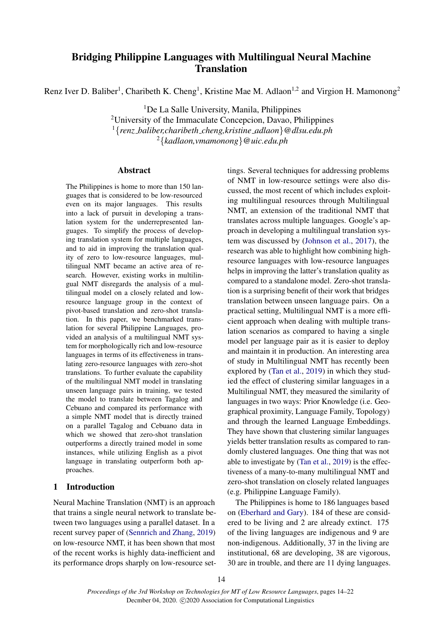# Bridging Philippine Languages with Multilingual Neural Machine **Translation**

Renz Iver D. Baliber<sup>1</sup>, Charibeth K. Cheng<sup>1</sup>, Kristine Mae M. Adlaon<sup>1,2</sup> and Virgion H. Mamonong<sup>2</sup>

<sup>1</sup>De La Salle University, Manila, Philippines

<sup>2</sup>University of the Immaculate Concepcion, Davao, Philippines

<sup>1</sup>{*renz baliber,charibeth cheng,kristine adlaon*}*@dlsu.edu.ph*

<sup>2</sup>{*kadlaon,vmamonong*}*@uic.edu.ph*

### Abstract

The Philippines is home to more than 150 languages that is considered to be low-resourced even on its major languages. This results into a lack of pursuit in developing a translation system for the underrepresented languages. To simplify the process of developing translation system for multiple languages, and to aid in improving the translation quality of zero to low-resource languages, multilingual NMT became an active area of research. However, existing works in multilingual NMT disregards the analysis of a multilingual model on a closely related and lowresource language group in the context of pivot-based translation and zero-shot translation. In this paper, we benchmarked translation for several Philippine Languages, provided an analysis of a multilingual NMT system for morphologically rich and low-resource languages in terms of its effectiveness in translating zero-resource languages with zero-shot translations. To further evaluate the capability of the multilingual NMT model in translating unseen language pairs in training, we tested the model to translate between Tagalog and Cebuano and compared its performance with a simple NMT model that is directly trained on a parallel Tagalog and Cebuano data in which we showed that zero-shot translation outperforms a directly trained model in some instances, while utilizing English as a pivot language in translating outperform both approaches.

## 1 Introduction

Neural Machine Translation (NMT) is an approach that trains a single neural network to translate between two languages using a parallel dataset. In a recent survey paper of [\(Sennrich and Zhang,](#page-8-0) [2019\)](#page-8-0) on low-resource NMT, it has been shown that most of the recent works is highly data-inefficient and its performance drops sharply on low-resource set-

tings. Several techniques for addressing problems of NMT in low-resource settings were also discussed, the most recent of which includes exploiting multilingual resources through Multilingual NMT, an extension of the traditional NMT that translates across multiple languages. Google's approach in developing a multilingual translation system was discussed by [\(Johnson et al.,](#page-8-1) [2017\)](#page-8-1), the research was able to highlight how combining highresource languages with low-resource languages helps in improving the latter's translation quality as compared to a standalone model. Zero-shot translation is a surprising benefit of their work that bridges translation between unseen language pairs. On a practical setting, Multilingual NMT is a more efficient approach when dealing with multiple translation scenarios as compared to having a single model per language pair as it is easier to deploy and maintain it in production. An interesting area of study in Multilingual NMT has recently been explored by [\(Tan et al.,](#page-8-2) [2019\)](#page-8-2) in which they studied the effect of clustering similar languages in a Multilingual NMT, they measured the similarity of languages in two ways: Prior Knowledge (i.e. Geographical proximity, Language Family, Topology) and through the learned Language Embeddings. They have shown that clustering similar languages yields better translation results as compared to randomly clustered languages. One thing that was not able to investigate by [\(Tan et al.,](#page-8-2) [2019\)](#page-8-2) is the effectiveness of a many-to-many multilingual NMT and zero-shot translation on closely related languages (e.g. Philippine Language Family).

The Philippines is home to 186 languages based on [\(Eberhard and Gary\)](#page-7-0). 184 of these are considered to be living and 2 are already extinct. 175 of the living languages are indigenous and 9 are non-indigenous. Additionally, 37 in the living are institutional, 68 are developing, 38 are vigorous, 30 are in trouble, and there are 11 dying languages.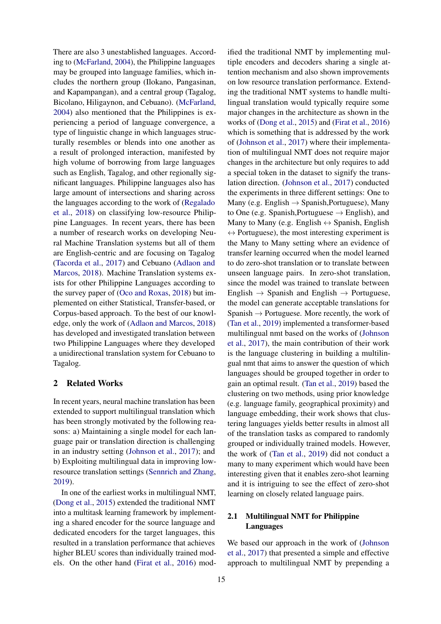There are also 3 unestablished languages. According to [\(McFarland,](#page-8-3) [2004\)](#page-8-3), the Philippine languages may be grouped into language families, which includes the northern group (Ilokano, Pangasinan, and Kapampangan), and a central group (Tagalog, Bicolano, Hiligaynon, and Cebuano). [\(McFarland,](#page-8-3) [2004\)](#page-8-3) also mentioned that the Philippines is experiencing a period of language convergence, a type of linguistic change in which languages structurally resembles or blends into one another as a result of prolonged interaction, manifested by high volume of borrowing from large languages such as English, Tagalog, and other regionally significant languages. Philippine languages also has large amount of intersections and sharing across the languages according to the work of [\(Regalado](#page-8-4) [et al.,](#page-8-4) [2018\)](#page-8-4) on classifying low-resource Philippine Languages. In recent years, there has been a number of research works on developing Neural Machine Translation systems but all of them are English-centric and are focusing on Tagalog [\(Tacorda et al.,](#page-8-5) [2017\)](#page-8-5) and Cebuano [\(Adlaon and](#page-7-1) [Marcos,](#page-7-1) [2018\)](#page-7-1). Machine Translation systems exists for other Philippine Languages according to the survey paper of [\(Oco and Roxas,](#page-8-6) [2018\)](#page-8-6) but implemented on either Statistical, Transfer-based, or Corpus-based approach. To the best of our knowledge, only the work of [\(Adlaon and Marcos,](#page-7-1) [2018\)](#page-7-1) has developed and investigated translation between two Philippine Languages where they developed a unidirectional translation system for Cebuano to Tagalog.

## 2 Related Works

In recent years, neural machine translation has been extended to support multilingual translation which has been strongly motivated by the following reasons: a) Maintaining a single model for each language pair or translation direction is challenging in an industry setting [\(Johnson et al.,](#page-8-1) [2017\)](#page-8-1); and b) Exploiting multilingual data in improving lowresource translation settings [\(Sennrich and Zhang,](#page-8-0) [2019\)](#page-8-0).

In one of the earliest works in multilingual NMT, [\(Dong et al.,](#page-7-2) [2015\)](#page-7-2) extended the traditional NMT into a multitask learning framework by implementing a shared encoder for the source language and dedicated encoders for the target languages, this resulted in a translation performance that achieves higher BLEU scores than individually trained models. On the other hand [\(Firat et al.,](#page-7-3) [2016\)](#page-7-3) mod-

ified the traditional NMT by implementing multiple encoders and decoders sharing a single attention mechanism and also shown improvements on low resource translation performance. Extending the traditional NMT systems to handle multilingual translation would typically require some major changes in the architecture as shown in the works of [\(Dong et al.,](#page-7-2) [2015\)](#page-7-2) and [\(Firat et al.,](#page-7-3) [2016\)](#page-7-3) which is something that is addressed by the work of [\(Johnson et al.,](#page-8-1) [2017\)](#page-8-1) where their implementation of multilingual NMT does not require major changes in the architecture but only requires to add a special token in the dataset to signify the translation direction. [\(Johnson et al.,](#page-8-1) [2017\)](#page-8-1) conducted the experiments in three different settings: One to Many (e.g. English  $\rightarrow$  Spanish, Portuguese), Many to One (e.g. Spanish, Portuguese  $\rightarrow$  English), and Many to Many (e.g. English  $\leftrightarrow$  Spanish, English  $\leftrightarrow$  Portuguese), the most interesting experiment is the Many to Many setting where an evidence of transfer learning occurred when the model learned to do zero-shot translation or to translate between unseen language pairs. In zero-shot translation, since the model was trained to translate between English  $\rightarrow$  Spanish and English  $\rightarrow$  Portuguese, the model can generate acceptable translations for Spanish  $\rightarrow$  Portuguese. More recently, the work of [\(Tan et al.,](#page-8-2) [2019\)](#page-8-2) implemented a transformer-based multilingual nmt based on the works of [\(Johnson](#page-8-1) [et al.,](#page-8-1) [2017\)](#page-8-1), the main contribution of their work is the language clustering in building a multilingual nmt that aims to answer the question of which languages should be grouped together in order to gain an optimal result. [\(Tan et al.,](#page-8-2) [2019\)](#page-8-2) based the clustering on two methods, using prior knowledge (e.g. language family, geographical proximity) and language embedding, their work shows that clustering languages yields better results in almost all of the translation tasks as compared to randomly grouped or individually trained models. However, the work of [\(Tan et al.,](#page-8-2) [2019\)](#page-8-2) did not conduct a many to many experiment which would have been interesting given that it enables zero-shot learning and it is intriguing to see the effect of zero-shot learning on closely related language pairs.

## 2.1 Multilingual NMT for Philippine Languages

We based our approach in the work of [\(Johnson](#page-8-1) [et al.,](#page-8-1) [2017\)](#page-8-1) that presented a simple and effective approach to multilingual NMT by prepending a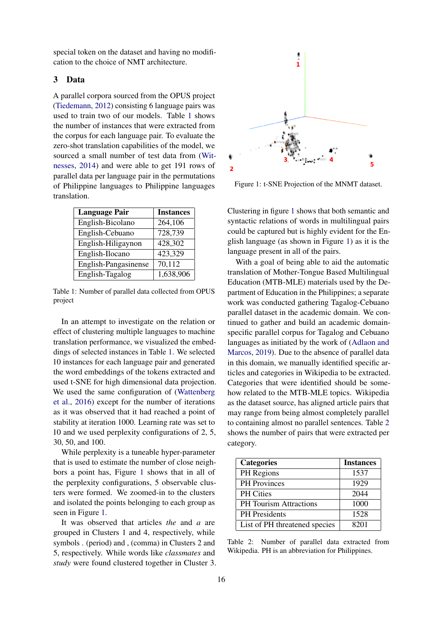special token on the dataset and having no modification to the choice of NMT architecture.

## 3 Data

A parallel corpora sourced from the OPUS project [\(Tiedemann,](#page-8-7) [2012\)](#page-8-7) consisting 6 language pairs was used to train two of our models. Table [1](#page-2-0) shows the number of instances that were extracted from the corpus for each language pair. To evaluate the zero-shot translation capabilities of the model, we sourced a small number of test data from [\(Wit](#page-8-8)[nesses,](#page-8-8) [2014\)](#page-8-8) and were able to get 191 rows of parallel data per language pair in the permutations of Philippine languages to Philippine languages translation.

<span id="page-2-0"></span>

| <b>Language Pair</b> | <b>Instances</b> |
|----------------------|------------------|
| English-Bicolano     | 264,106          |
| English-Cebuano      | 728,739          |
| English-Hiligaynon   | 428,302          |
| English-Ilocano      | 423,329          |
| English-Pangasinense | 70,112           |
| English-Tagalog      | 1,638,906        |

Table 1: Number of parallel data collected from OPUS project

In an attempt to investigate on the relation or effect of clustering multiple languages to machine translation performance, we visualized the embeddings of selected instances in Table [1.](#page-2-0) We selected 10 instances for each language pair and generated the word embeddings of the tokens extracted and used t-SNE for high dimensional data projection. We used the same configuration of [\(Wattenberg](#page-8-9) [et al.,](#page-8-9) [2016\)](#page-8-9) except for the number of iterations as it was observed that it had reached a point of stability at iteration 1000. Learning rate was set to 10 and we used perplexity configurations of 2, 5, 30, 50, and 100.

While perplexity is a tuneable hyper-parameter that is used to estimate the number of close neighbors a point has, Figure [1](#page-2-1) shows that in all of the perplexity configurations, 5 observable clusters were formed. We zoomed-in to the clusters and isolated the points belonging to each group as seen in Figure [1.](#page-2-1)

It was observed that articles *the* and *a* are grouped in Clusters 1 and 4, respectively, while symbols . (period) and , (comma) in Clusters 2 and 5, respectively. While words like *classmates* and *study* were found clustered together in Cluster 3.

<span id="page-2-1"></span>

Figure 1: t-SNE Projection of the MNMT dataset.

Clustering in figure [1](#page-2-1) shows that both semantic and syntactic relations of words in multilingual pairs could be captured but is highly evident for the English language (as shown in Figure [1\)](#page-2-1) as it is the language present in all of the pairs.

With a goal of being able to aid the automatic translation of Mother-Tongue Based Multilingual Education (MTB-MLE) materials used by the Department of Education in the Philippines; a separate work was conducted gathering Tagalog-Cebuano parallel dataset in the academic domain. We continued to gather and build an academic domainspecific parallel corpus for Tagalog and Cebuano languages as initiated by the work of [\(Adlaon and](#page-7-4) [Marcos,](#page-7-4) [2019\)](#page-7-4). Due to the absence of parallel data in this domain, we manually identified specific articles and categories in Wikipedia to be extracted. Categories that were identified should be somehow related to the MTB-MLE topics. Wikipedia as the dataset source, has aligned article pairs that may range from being almost completely parallel to containing almost no parallel sentences. Table [2](#page-2-2) shows the number of pairs that were extracted per category.

<span id="page-2-2"></span>

| <b>Categories</b>             | <b>Instances</b> |
|-------------------------------|------------------|
| PH Regions                    | 1537             |
| <b>PH</b> Provinces           | 1929             |
| <b>PH</b> Cities              | 2044             |
| <b>PH Tourism Attractions</b> | 1000             |
| PH Presidents                 | 1528             |
| List of PH threatened species | 8201             |

Table 2: Number of parallel data extracted from Wikipedia. PH is an abbreviation for Philippines.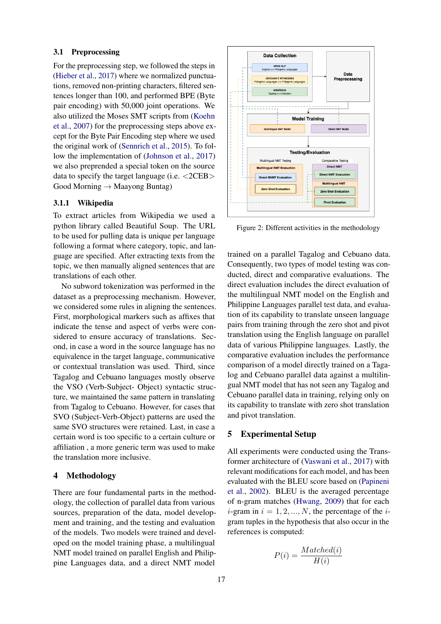## 3.1 Preprocessing

For the preprocessing step, we followed the steps in [\(Hieber et al.,](#page-7-5) [2017\)](#page-7-5) where we normalized punctuations, removed non-printing characters, filtered sentences longer than 100, and performed BPE (Byte pair encoding) with 50,000 joint operations. We also utilized the Moses SMT scripts from [\(Koehn](#page-8-10) [et al.,](#page-8-10) [2007\)](#page-8-10) for the preprocessing steps above except for the Byte Pair Encoding step where we used the original work of [\(Sennrich et al.,](#page-8-11) [2015\)](#page-8-11). To follow the implementation of [\(Johnson et al.,](#page-8-1) [2017\)](#page-8-1) we also preprended a special token on the source data to specify the target language (i.e.  $\langle$ 2CEB $\rangle$ ) Good Morning  $\rightarrow$  Maayong Buntag)

#### 3.1.1 Wikipedia

To extract articles from Wikipedia we used a python library called Beautiful Soup. The URL to be used for pulling data is unique per language following a format where category, topic, and language are specified. After extracting texts from the topic, we then manually aligned sentences that are translations of each other.

No subword tokenization was performed in the dataset as a preprocessing mechanism. However, we considered some rules in aligning the sentences. First, morphological markers such as affixes that indicate the tense and aspect of verbs were considered to ensure accuracy of translations. Second, in case a word in the source language has no equivalence in the target language, communicative or contextual translation was used. Third, since Tagalog and Cebuano languages mostly observe the VSO (Verb-Subject- Object) syntactic structure, we maintained the same pattern in translating from Tagalog to Cebuano. However, for cases that SVO (Subject-Verb-Object) patterns are used the same SVO structures were retained. Last, in case a certain word is too specific to a certain culture or affiliation , a more generic term was used to make the translation more inclusive.

## 4 Methodology

There are four fundamental parts in the methodology, the collection of parallel data from various sources, preparation of the data, model development and training, and the testing and evaluation of the models. Two models were trained and developed on the model training phase, a multilingual NMT model trained on parallel English and Philippine Languages data, and a direct NMT model



Figure 2: Different activities in the methodology

trained on a parallel Tagalog and Cebuano data. Consequently, two types of model testing was conducted, direct and comparative evaluations. The direct evaluation includes the direct evaluation of the multilingual NMT model on the English and Philippine Languages parallel test data, and evaluation of its capability to translate unseen language pairs from training through the zero shot and pivot translation using the English language on parallel data of various Philippine languages. Lastly, the comparative evaluation includes the performance comparison of a model directly trained on a Tagalog and Cebuano parallel data against a multilingual NMT model that has not seen any Tagalog and Cebuano parallel data in training, relying only on its capability to translate with zero shot translation and pivot translation.

## 5 Experimental Setup

All experiments were conducted using the Transformer architecture of [\(Vaswani et al.,](#page-8-12) [2017\)](#page-8-12) with relevant modifications for each model, and has been evaluated with the BLEU score based on [\(Papineni](#page-8-13) [et al.,](#page-8-13) [2002\)](#page-8-13). BLEU is the averaged percentage of n-gram matches [\(Hwang,](#page-8-14) [2009\)](#page-8-14) that for each *i*-gram in  $i = 1, 2, ..., N$ , the percentage of the *i*gram tuples in the hypothesis that also occur in the references is computed:

$$
P(i) = \frac{Matched(i)}{H(i)}
$$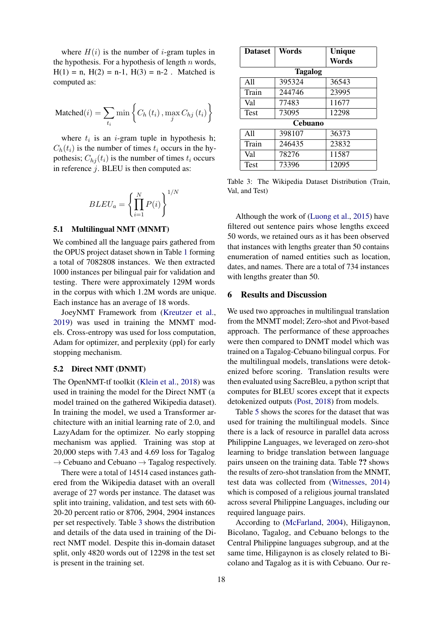where  $H(i)$  is the number of *i*-gram tuples in the hypothesis. For a hypothesis of length  $n$  words,  $H(1) = n$ ,  $H(2) = n-1$ ,  $H(3) = n-2$ . Matched is computed as:

$$
\text{Matched}(i) = \sum_{t_i} \min \left\{ C_h(t_i), \max_j C_{hj}(t_i) \right\}
$$

where  $t_i$  is an *i*-gram tuple in hypothesis h;  $C_h(t_i)$  is the number of times  $t_i$  occurs in the hypothesis;  $C_{h,i}(t_i)$  is the number of times  $t_i$  occurs in reference  $j$ . BLEU is then computed as:

$$
BLEU_a = \left\{ \prod_{i=1}^{N} P(i) \right\}^{1/N}
$$

#### 5.1 Multilingual NMT (MNMT)

We combined all the language pairs gathered from the OPUS project dataset shown in Table [1](#page-2-0) forming a total of 7082808 instances. We then extracted 1000 instances per bilingual pair for validation and testing. There were approximately 129M words in the corpus with which 1.2M words are unique. Each instance has an average of 18 words.

JoeyNMT Framework from [\(Kreutzer et al.,](#page-8-15) [2019\)](#page-8-15) was used in training the MNMT models. Cross-entropy was used for loss computation, Adam for optimizer, and perplexity (ppl) for early stopping mechanism.

## 5.2 Direct NMT (DNMT)

The OpenNMT-tf toolkit [\(Klein et al.,](#page-8-16) [2018\)](#page-8-16) was used in training the model for the Direct NMT (a model trained on the gathered Wikipedia dataset). In training the model, we used a Transformer architecture with an initial learning rate of 2.0, and LazyAdam for the optimizer. No early stopping mechanism was applied. Training was stop at 20,000 steps with 7.43 and 4.69 loss for Tagalog  $\rightarrow$  Cebuano and Cebuano  $\rightarrow$  Tagalog respectively.

There were a total of 14514 cased instances gathered from the Wikipedia dataset with an overall average of 27 words per instance. The dataset was split into training, validation, and test sets with 60- 20-20 percent ratio or 8706, 2904, 2904 instances per set respectively. Table [3](#page-4-0) shows the distribution and details of the data used in training of the Direct NMT model. Despite this in-domain dataset split, only 4820 words out of 12298 in the test set is present in the training set.

<span id="page-4-0"></span>

| <b>Dataset</b> | Words  | Unique |  |
|----------------|--------|--------|--|
|                |        | Words  |  |
| <b>Tagalog</b> |        |        |  |
| A11            | 395324 | 36543  |  |
| Train          | 244746 | 23995  |  |
| Val            | 77483  | 11677  |  |
| <b>Test</b>    | 73095  | 12298  |  |
| Cebuano        |        |        |  |
| A11            | 398107 | 36373  |  |
| Train          | 246435 | 23832  |  |
| Val            | 78276  | 11587  |  |
| Test           | 73396  | 12095  |  |

Table 3: The Wikipedia Dataset Distribution (Train, Val, and Test)

Although the work of [\(Luong et al.,](#page-8-17) [2015\)](#page-8-17) have filtered out sentence pairs whose lengths exceed 50 words, we retained ours as it has been observed that instances with lengths greater than 50 contains enumeration of named entities such as location, dates, and names. There are a total of 734 instances with lengths greater than 50.

### 6 Results and Discussion

We used two approaches in multilingual translation from the MNMT model; Zero-shot and Pivot-based approach. The performance of these approaches were then compared to DNMT model which was trained on a Tagalog-Cebuano bilingual corpus. For the multilingual models, translations were detokenized before scoring. Translation results were then evaluated using SacreBleu, a python script that computes for BLEU scores except that it expects detokenized outputs [\(Post,](#page-8-18) [2018\)](#page-8-18) from models.

Table [5](#page-5-0) shows the scores for the dataset that was used for training the multilingual models. Since there is a lack of resource in parallel data across Philippine Languages, we leveraged on zero-shot learning to bridge translation between language pairs unseen on the training data. Table ?? shows the results of zero-shot translation from the MNMT, test data was collected from [\(Witnesses,](#page-8-8) [2014\)](#page-8-8) which is composed of a religious journal translated across several Philippine Languages, including our required language pairs.

According to [\(McFarland,](#page-8-3) [2004\)](#page-8-3), Hiligaynon, Bicolano, Tagalog, and Cebuano belongs to the Central Philippine languages subgroup, and at the same time, Hiligaynon is as closely related to Bicolano and Tagalog as it is with Cebuano. Our re-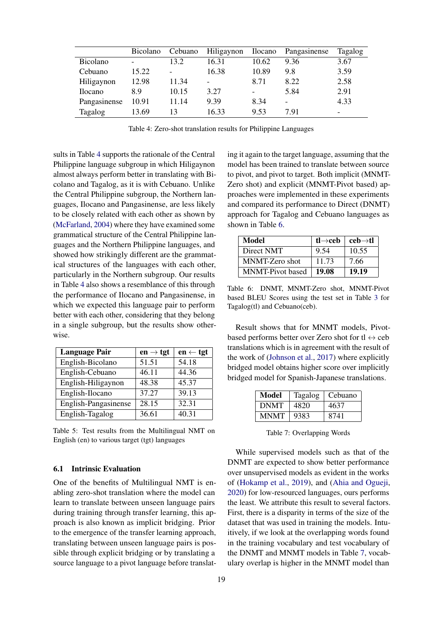<span id="page-5-1"></span>

|                 | <b>Bicolano</b>          | Cebuano                  | Hiligaynon | <b>Ilocano</b> | Pangasinense | <b>Tagalog</b> |
|-----------------|--------------------------|--------------------------|------------|----------------|--------------|----------------|
| <b>Bicolano</b> | $\overline{\phantom{0}}$ | 13.2                     | 16.31      | 10.62          | 9.36         | 3.67           |
| Cebuano         | 15.22                    | $\overline{\phantom{a}}$ | 16.38      | 10.89          | 9.8          | 3.59           |
| Hiligaynon      | 12.98                    | 11.34                    |            | 8.71           | 8.22         | 2.58           |
| <i>Ilocano</i>  | 8.9                      | 10.15                    | 3.27       | -              | 5.84         | 2.91           |
| Pangasinense    | 10.91                    | 11.14                    | 9.39       | 8.34           | -            | 4.33           |
| Tagalog         | 13.69                    | 13                       | 16.33      | 9.53           | 7.91         | -              |

Table 4: Zero-shot translation results for Philippine Languages

sults in Table [4](#page-5-1) supports the rationale of the Central Philippine language subgroup in which Hiligaynon almost always perform better in translating with Bicolano and Tagalog, as it is with Cebuano. Unlike the Central Philippine subgroup, the Northern languages, Ilocano and Pangasinense, are less likely to be closely related with each other as shown by [\(McFarland,](#page-8-3) [2004\)](#page-8-3) where they have examined some grammatical structure of the Central Philippine languages and the Northern Philippine languages, and showed how strikingly different are the grammatical structures of the languages with each other, particularly in the Northern subgroup. Our results in Table [4](#page-5-1) also shows a resemblance of this through the performance of Ilocano and Pangasinense, in which we expected this language pair to perform better with each other, considering that they belong in a single subgroup, but the results show otherwise.

<span id="page-5-0"></span>

| <b>Language Pair</b> | en $\rightarrow$ tgt | $en \leftarrow \text{tgt}$ |
|----------------------|----------------------|----------------------------|
| English-Bicolano     | 51.51                | 54.18                      |
| English-Cebuano      | 46.11                | 44.36                      |
| English-Hiligaynon   | 48.38                | 45.37                      |
| English-Ilocano      | 37.27                | 39.13                      |
| English-Pangasinense | 28.15                | 32.31                      |
| English-Tagalog      | 36.61                | 40.31                      |

Table 5: Test results from the Multilingual NMT on English (en) to various target (tgt) languages

## 6.1 Intrinsic Evaluation

One of the benefits of Multilingual NMT is enabling zero-shot translation where the model can learn to translate between unseen language pairs during training through transfer learning, this approach is also known as implicit bridging. Prior to the emergence of the transfer learning approach, translating between unseen language pairs is possible through explicit bridging or by translating a source language to a pivot language before translat-

19

ing it again to the target language, assuming that the model has been trained to translate between source to pivot, and pivot to target. Both implicit (MNMT-Zero shot) and explicit (MNMT-Pivot based) approaches were implemented in these experiments and compared its performance to Direct (DNMT) approach for Tagalog and Cebuano languages as shown in Table [6.](#page-5-2)

<span id="page-5-2"></span>

| Model                   | tl $\rightarrow$ ceb | $\mathbf{ceb} \rightarrow \mathbf{tl}$ |
|-------------------------|----------------------|----------------------------------------|
| Direct NMT              | 9.54                 | 10.55                                  |
| MNMT-Zero shot          | 11 73                | 7.66                                   |
| <b>MNMT-Pivot</b> based | 19.08                | 19.19                                  |

Table 6: DNMT, MNMT-Zero shot, MNMT-Pivot based BLEU Scores using the test set in Table [3](#page-4-0) for Tagalog(tl) and Cebuano(ceb).

Result shows that for MNMT models, Pivotbased performs better over Zero shot for tl  $\leftrightarrow$  ceb translations which is in agreement with the result of the work of [\(Johnson et al.,](#page-8-1) [2017\)](#page-8-1) where explicitly bridged model obtains higher score over implicitly bridged model for Spanish-Japanese translations.

<span id="page-5-3"></span>

| Model       | <b>Tagalog</b> | Cebuano |
|-------------|----------------|---------|
| <b>DNMT</b> | 4820           | 4637    |
| <b>MNMT</b> | 9383           | 8741    |

Table 7: Overlapping Words

While supervised models such as that of the DNMT are expected to show better performance over unsupervised models as evident in the works of [\(Hokamp et al.,](#page-7-6) [2019\)](#page-7-6), and [\(Ahia and Ogueji,](#page-7-7) [2020\)](#page-7-7) for low-resourced languages, ours performs the least. We attribute this result to several factors. First, there is a disparity in terms of the size of the dataset that was used in training the models. Intuitively, if we look at the overlapping words found in the training vocabulary and test vocabulary of the DNMT and MNMT models in Table [7,](#page-5-3) vocabulary overlap is higher in the MNMT model than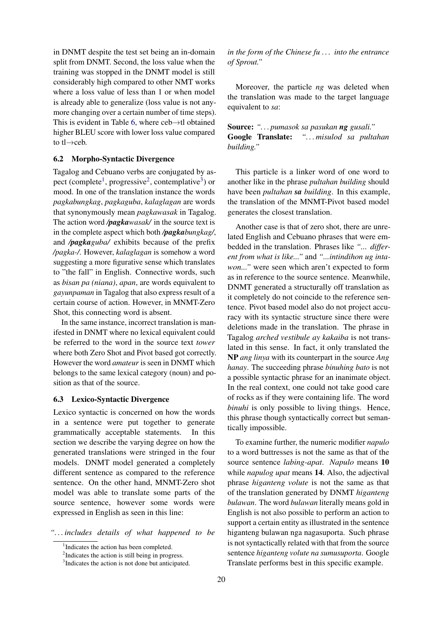in DNMT despite the test set being an in-domain split from DNMT. Second, the loss value when the training was stopped in the DNMT model is still considerably high compared to other NMT works where a loss value of less than 1 or when model is already able to generalize (loss value is not anymore changing over a certain number of time steps). This is evident in Table [6,](#page-5-2) where  $ceb \rightarrow tl$  obtained higher BLEU score with lower loss value compared to tl→ceb.

## 6.2 Morpho-Syntactic Divergence

Tagalog and Cebuano verbs are conjugated by as-pect (complete<sup>[1](#page-6-0)</sup>, progressive<sup>[2](#page-6-1)</sup>, contemplative<sup>[3](#page-6-2)</sup>) or mood. In one of the translation instance the words *pagkabungkag*, *pagkaguba*, *kalaglagan* are words that synonymously mean *pagkawasak* in Tagalog. The action word */pagkawasak/* in the source text is in the complete aspect which both */pagkabungkag/*, and */pagkaguba/* exhibits because of the prefix */pagka-/*. However, *kalaglagan* is somehow a word suggesting a more figurative sense which translates to "the fall" in English. Connective words, such as *bisan pa (niana)*, *apan*, are words equivalent to *gayunpaman* in Tagalog that also express result of a certain course of action. However, in MNMT-Zero Shot, this connecting word is absent.

In the same instance, incorrect translation is manifested in DNMT where no lexical equivalent could be referred to the word in the source text *tower* where both Zero Shot and Pivot based got correctly. However the word *amateur* is seen in DNMT which belongs to the same lexical category (noun) and position as that of the source.

#### 6.3 Lexico-Syntactic Divergence

Lexico syntactic is concerned on how the words in a sentence were put together to generate grammatically acceptable statements. In this section we describe the varying degree on how the generated translations were stringed in the four models. DNMT model generated a completely different sentence as compared to the reference sentence. On the other hand, MNMT-Zero shot model was able to translate some parts of the source sentence, however some words were expressed in English as seen in this line:

*". . . includes details of what happened to be*

*in the form of the Chinese fu . . . into the entrance of Sprout."*

Moreover, the particle *ng* was deleted when the translation was made to the target language equivalent to *sa*:

Source: *". . . pumasok sa pasukan ng gusali."* Google Translate: *". . . misulod sa pultahan building."*

This particle is a linker word of one word to another like in the phrase *pultahan building* should have been *pultahan sa building*. In this example, the translation of the MNMT-Pivot based model generates the closest translation.

Another case is that of zero shot, there are unrelated English and Cebuano phrases that were embedded in the translation. Phrases like *"... different from what is like..."* and *"...intindihon ug intawon..."* were seen which aren't expected to form as in reference to the source sentence. Meanwhile, DNMT generated a structurally off translation as it completely do not coincide to the reference sentence. Pivot based model also do not project accuracy with its syntactic structure since there were deletions made in the translation. The phrase in Tagalog *arched vestibule ay kakaiba* is not translated in this sense. In fact, it only translated the NP *ang linya* with its counterpart in the source *Ang hanay*. The succeeding phrase *binuhing bato* is not a possible syntactic phrase for an inanimate object. In the real context, one could not take good care of rocks as if they were containing life. The word *binuhi* is only possible to living things. Hence, this phrase though syntactically correct but semantically impossible.

To examine further, the numeric modifier *napulo* to a word buttresses is not the same as that of the source sentence *labing-apat*. *Napulo* means 10 while *napulog upat* means 14. Also, the adjectival phrase *higanteng volute* is not the same as that of the translation generated by DNMT *higanteng bulawan*. The word *bulawan* literally means gold in English is not also possible to perform an action to support a certain entity as illustrated in the sentence higanteng bulawan nga nagasuporta. Such phrase is not syntactically related with that from the source sentence *higanteng volute na sumusuporta*. Google Translate performs best in this specific example.

<span id="page-6-0"></span><sup>&</sup>lt;sup>1</sup>Indicates the action has been completed.

<span id="page-6-1"></span><sup>&</sup>lt;sup>2</sup>Indicates the action is still being in progress.

<span id="page-6-2"></span><sup>&</sup>lt;sup>3</sup>Indicates the action is not done but anticipated.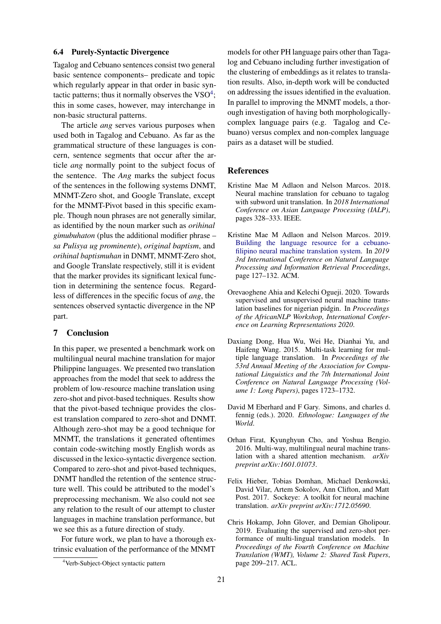### 6.4 Purely-Syntactic Divergence

Tagalog and Cebuano sentences consist two general basic sentence components– predicate and topic which regularly appear in that order in basic syntactic patterns; thus it normally observes the  $VSO<sup>4</sup>$  $VSO<sup>4</sup>$  $VSO<sup>4</sup>$ ; this in some cases, however, may interchange in non-basic structural patterns.

The article *ang* serves various purposes when used both in Tagalog and Cebuano. As far as the grammatical structure of these languages is concern, sentence segments that occur after the article *ang* normally point to the subject focus of the sentence. The *Ang* marks the subject focus of the sentences in the following systems DNMT, MNMT-Zero shot, and Google Translate, except for the MNMT-Pivot based in this specific example. Though noun phrases are not generally similar, as identified by the noun marker such as *orihinal gimubuhaton* (plus the additional modifier phrase – *sa Pulisya ug prominente*), *original baptism*, and *orihinal baptismuhan* in DNMT, MNMT-Zero shot, and Google Translate respectively, still it is evident that the marker provides its significant lexical function in determining the sentence focus. Regardless of differences in the specific focus of *ang*, the sentences observed syntactic divergence in the NP part.

## 7 Conclusion

In this paper, we presented a benchmark work on multilingual neural machine translation for major Philippine languages. We presented two translation approaches from the model that seek to address the problem of low-resource machine translation using zero-shot and pivot-based techniques. Results show that the pivot-based technique provides the closest translation compared to zero-shot and DNMT. Although zero-shot may be a good technique for MNMT, the translations it generated oftentimes contain code-switching mostly English words as discussed in the lexico-syntactic divergence section. Compared to zero-shot and pivot-based techniques, DNMT handled the retention of the sentence structure well. This could be attributed to the model's preprocessing mechanism. We also could not see any relation to the result of our attempt to cluster languages in machine translation performance, but we see this as a future direction of study.

For future work, we plan to have a thorough extrinsic evaluation of the performance of the MNMT

models for other PH language pairs other than Tagalog and Cebuano including further investigation of the clustering of embeddings as it relates to translation results. Also, in-depth work will be conducted on addressing the issues identified in the evaluation. In parallel to improving the MNMT models, a thorough investigation of having both morphologicallycomplex language pairs (e.g. Tagalog and Cebuano) versus complex and non-complex language pairs as a dataset will be studied.

#### References

- <span id="page-7-1"></span>Kristine Mae M Adlaon and Nelson Marcos. 2018. Neural machine translation for cebuano to tagalog with subword unit translation. In *2018 International Conference on Asian Language Processing (IALP)*, pages 328–333. IEEE.
- <span id="page-7-4"></span>Kristine Mae M Adlaon and Nelson Marcos. 2019. [Building the language resource for a cebuano](https://doi.org/10.1145/3342827.3342833)[filipino neural machine translation system.](https://doi.org/10.1145/3342827.3342833) In *2019 3rd International Conference on Natural Language Processing and Information Retrieval Proceedings*, page 127–132. ACM.
- <span id="page-7-7"></span>Orevaoghene Ahia and Kelechi Ogueji. 2020. Towards supervised and unsupervised neural machine translation baselines for nigerian pidgin. In *Proceedings of the AfricanNLP Workshop, International Conference on Learning Representations 2020*.
- <span id="page-7-2"></span>Daxiang Dong, Hua Wu, Wei He, Dianhai Yu, and Haifeng Wang. 2015. Multi-task learning for multiple language translation. In *Proceedings of the 53rd Annual Meeting of the Association for Computational Linguistics and the 7th International Joint Conference on Natural Language Processing (Volume 1: Long Papers)*, pages 1723–1732.
- <span id="page-7-0"></span>David M Eberhard and F Gary. Simons, and charles d. fennig (eds.). 2020. *Ethnologue: Languages of the World*.
- <span id="page-7-3"></span>Orhan Firat, Kyunghyun Cho, and Yoshua Bengio. 2016. Multi-way, multilingual neural machine translation with a shared attention mechanism. *arXiv preprint arXiv:1601.01073*.
- <span id="page-7-5"></span>Felix Hieber, Tobias Domhan, Michael Denkowski, David Vilar, Artem Sokolov, Ann Clifton, and Matt Post. 2017. Sockeye: A toolkit for neural machine translation. *arXiv preprint arXiv:1712.05690*.
- <span id="page-7-6"></span>Chris Hokamp, John Glover, and Demian Gholipour. 2019. Evaluating the supervised and zero-shot performance of multi-lingual translation models. In *Proceedings of the Fourth Conference on Machine Translation (WMT), Volume 2: Shared Task Papers*, page 209–217. ACL.

<span id="page-7-8"></span><sup>4</sup>Verb-Subject-Object syntactic pattern